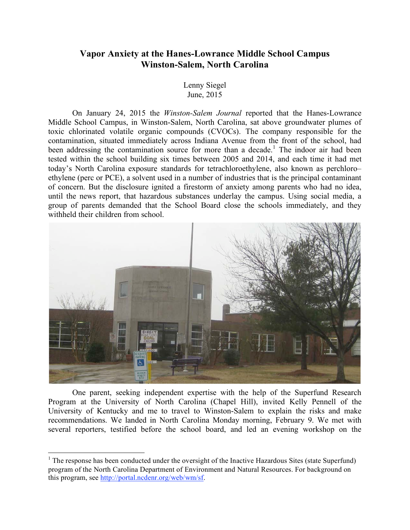# **Vapor Anxiety at the Hanes-Lowrance Middle School Campus Winston-Salem, North Carolina**

Lenny Siegel June, 2015

On January 24, 2015 the *Winston-Salem Journal* reported that the Hanes-Lowrance Middle School Campus, in Winston-Salem, North Carolina, sat above groundwater plumes of toxic chlorinated volatile organic compounds (CVOCs). The company responsible for the contamination, situated immediately across Indiana Avenue from the front of the school, had been addressing the contamination source for more than a decade.<sup>1</sup> The indoor air had been tested within the school building six times between 2005 and 2014, and each time it had met today's North Carolina exposure standards for tetrachloroethylene, also known as perchloro– ethylene (perc or PCE), a solvent used in a number of industries that is the principal contaminant of concern. But the disclosure ignited a firestorm of anxiety among parents who had no idea, until the news report, that hazardous substances underlay the campus. Using social media, a group of parents demanded that the School Board close the schools immediately, and they withheld their children from school.



One parent, seeking independent expertise with the help of the Superfund Research Program at the University of North Carolina (Chapel Hill), invited Kelly Pennell of the University of Kentucky and me to travel to Winston-Salem to explain the risks and make recommendations. We landed in North Carolina Monday morning, February 9. We met with several reporters, testified before the school board, and led an evening workshop on the

 $\frac{1}{1}$  $1$  The response has been conducted under the oversight of the Inactive Hazardous Sites (state Superfund) program of the North Carolina Department of Environment and Natural Resources. For background on this program, see http://portal.ncdenr.org/web/wm/sf.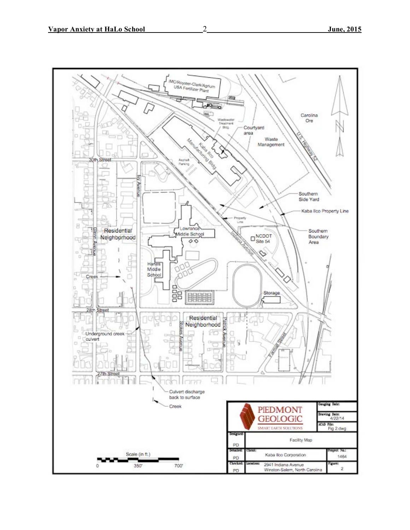

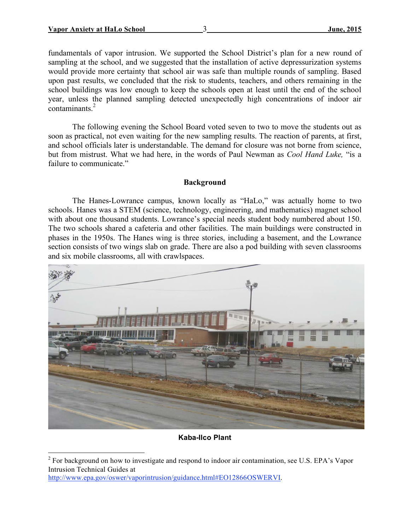fundamentals of vapor intrusion. We supported the School District's plan for a new round of sampling at the school, and we suggested that the installation of active depressurization systems would provide more certainty that school air was safe than multiple rounds of sampling. Based upon past results, we concluded that the risk to students, teachers, and others remaining in the school buildings was low enough to keep the schools open at least until the end of the school year, unless the planned sampling detected unexpectedly high concentrations of indoor air  $contaminants<sup>2</sup>$ 

The following evening the School Board voted seven to two to move the students out as soon as practical, not even waiting for the new sampling results. The reaction of parents, at first, and school officials later is understandable. The demand for closure was not borne from science, but from mistrust. What we had here, in the words of Paul Newman as *Cool Hand Luke,* "is a failure to communicate."

### **Background**

The Hanes-Lowrance campus, known locally as "HaLo," was actually home to two schools. Hanes was a STEM (science, technology, engineering, and mathematics) magnet school with about one thousand students. Lowrance's special needs student body numbered about 150. The two schools shared a cafeteria and other facilities. The main buildings were constructed in phases in the 1950s. The Hanes wing is three stories, including a basement, and the Lowrance section consists of two wings slab on grade. There are also a pod building with seven classrooms and six mobile classrooms, all with crawlspaces.



## **Kaba-Ilco Plant**

http://www.epa.gov/oswer/vaporintrusion/guidance.html#EO12866OSWERVI.

 $\frac{1}{2}$ <sup>2</sup> For background on how to investigate and respond to indoor air contamination, see U.S. EPA's Vapor Intrusion Technical Guides at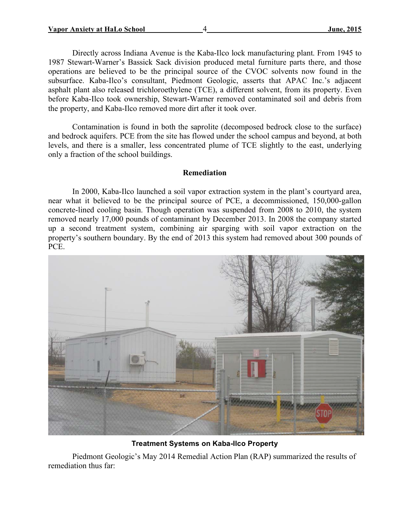Directly across Indiana Avenue is the Kaba-Ilco lock manufacturing plant. From 1945 to 1987 Stewart-Warner's Bassick Sack division produced metal furniture parts there, and those operations are believed to be the principal source of the CVOC solvents now found in the subsurface. Kaba-Ilco's consultant, Piedmont Geologic, asserts that APAC Inc.'s adjacent asphalt plant also released trichloroethylene (TCE), a different solvent, from its property. Even before Kaba-Ilco took ownership, Stewart-Warner removed contaminated soil and debris from the property, and Kaba-Ilco removed more dirt after it took over.

Contamination is found in both the saprolite (decomposed bedrock close to the surface) and bedrock aquifers. PCE from the site has flowed under the school campus and beyond, at both levels, and there is a smaller, less concentrated plume of TCE slightly to the east, underlying only a fraction of the school buildings.

# **Remediation**

In 2000, Kaba-Ilco launched a soil vapor extraction system in the plant's courtyard area, near what it believed to be the principal source of PCE, a decommissioned, 150,000-gallon concrete-lined cooling basin. Though operation was suspended from 2008 to 2010, the system removed nearly 17,000 pounds of contaminant by December 2013. In 2008 the company started up a second treatment system, combining air sparging with soil vapor extraction on the property's southern boundary. By the end of 2013 this system had removed about 300 pounds of PCE.



**Treatment Systems on Kaba-Ilco Property**

Piedmont Geologic's May 2014 Remedial Action Plan (RAP) summarized the results of remediation thus far: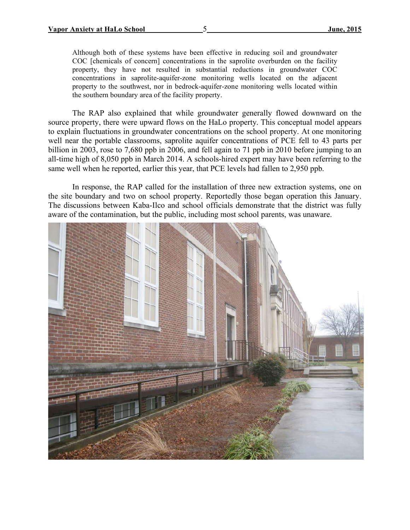Although both of these systems have been effective in reducing soil and groundwater COC [chemicals of concern] concentrations in the saprolite overburden on the facility property, they have not resulted in substantial reductions in groundwater COC concentrations in saprolite-aquifer-zone monitoring wells located on the adjacent property to the southwest, nor in bedrock-aquifer-zone monitoring wells located within the southern boundary area of the facility property.

The RAP also explained that while groundwater generally flowed downward on the source property, there were upward flows on the HaLo property. This conceptual model appears to explain fluctuations in groundwater concentrations on the school property. At one monitoring well near the portable classrooms, saprolite aquifer concentrations of PCE fell to 43 parts per billion in 2003, rose to 7,680 ppb in 2006, and fell again to 71 ppb in 2010 before jumping to an all-time high of 8,050 ppb in March 2014. A schools-hired expert may have been referring to the same well when he reported, earlier this year, that PCE levels had fallen to 2,950 ppb.

In response, the RAP called for the installation of three new extraction systems, one on the site boundary and two on school property. Reportedly those began operation this January. The discussions between Kaba-Ilco and school officials demonstrate that the district was fully aware of the contamination, but the public, including most school parents, was unaware.

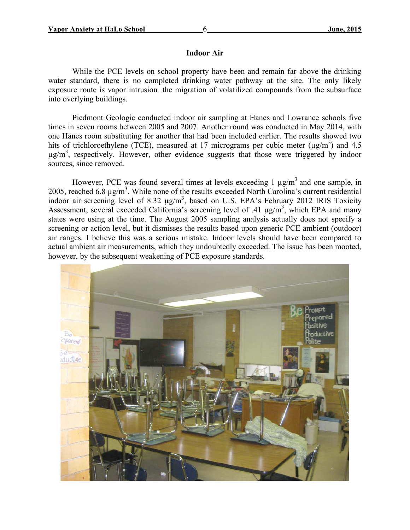#### **Indoor Air**

While the PCE levels on school property have been and remain far above the drinking water standard, there is no completed drinking water pathway at the site. The only likely exposure route is vapor intrusion*,* the migration of volatilized compounds from the subsurface into overlying buildings.

Piedmont Geologic conducted indoor air sampling at Hanes and Lowrance schools five times in seven rooms between 2005 and 2007. Another round was conducted in May 2014, with one Hanes room substituting for another that had been included earlier. The results showed two hits of trichloroethylene (TCE), measured at 17 micrograms per cubic meter ( $\mu$ g/m<sup>3</sup>) and 4.5  $\mu$ g/m<sup>3</sup>, respectively. However, other evidence suggests that those were triggered by indoor sources, since removed.

However, PCE was found several times at levels exceeding 1  $\mu$ g/m<sup>3</sup> and one sample, in 2005, reached 6.8  $\mu$ g/m<sup>3</sup>. While none of the results exceeded North Carolina's current residential indoor air screening level of 8.32  $\mu$ g/m<sup>3</sup>, based on U.S. EPA's February 2012 IRIS Toxicity Assessment, several exceeded California's screening level of .41  $\mu$ g/m<sup>3</sup>, which EPA and many states were using at the time. The August 2005 sampling analysis actually does not specify a screening or action level, but it dismisses the results based upon generic PCE ambient (outdoor) air ranges. I believe this was a serious mistake. Indoor levels should have been compared to actual ambient air measurements, which they undoubtedly exceeded. The issue has been mooted, however, by the subsequent weakening of PCE exposure standards.

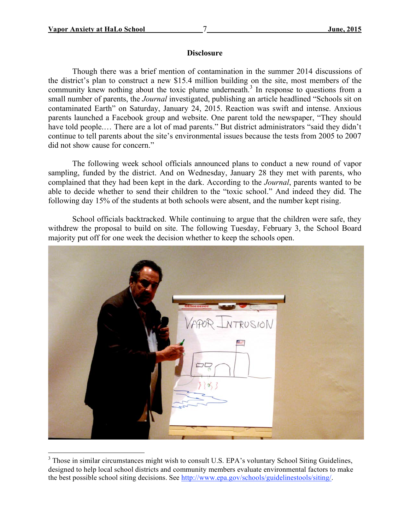### **Disclosure**

Though there was a brief mention of contamination in the summer 2014 discussions of the district's plan to construct a new \$15.4 million building on the site, most members of the community knew nothing about the toxic plume underneath.<sup>3</sup> In response to questions from a small number of parents, the *Journal* investigated, publishing an article headlined "Schools sit on contaminated Earth" on Saturday, January 24, 2015. Reaction was swift and intense. Anxious parents launched a Facebook group and website. One parent told the newspaper, "They should have told people.… There are a lot of mad parents." But district administrators "said they didn't continue to tell parents about the site's environmental issues because the tests from 2005 to 2007 did not show cause for concern."

The following week school officials announced plans to conduct a new round of vapor sampling, funded by the district. And on Wednesday, January 28 they met with parents, who complained that they had been kept in the dark. According to the *Journal*, parents wanted to be able to decide whether to send their children to the "toxic school." And indeed they did. The following day 15% of the students at both schools were absent, and the number kept rising.

School officials backtracked. While continuing to argue that the children were safe, they withdrew the proposal to build on site. The following Tuesday, February 3, the School Board majority put off for one week the decision whether to keep the schools open.



 <sup>3</sup> <sup>3</sup> Those in similar circumstances might wish to consult U.S. EPA's voluntary School Siting Guidelines, designed to help local school districts and community members evaluate environmental factors to make the best possible school siting decisions. See http://www.epa.gov/schools/guidelinestools/siting/.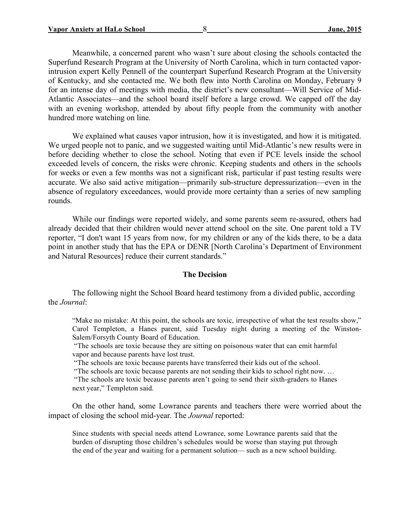Meanwhile, a concerned parent who wasn't sure about closing the schools contacted the Superfund Research Program at the University of North Carolina, which in turn contacted vaporintrusion expert Kelly Pennell of the counterpart Superfund Research Program at the University of Kentucky, and she contacted me. We both flew into North Carolina on Monday, February 9 for an intense day of meetings with media, the district's new consultant—Will Service of Mid-Atlantic Associates—and the school board itself before a large crowd. We capped off the day with an evening workshop, attended by about fifty people from the community with another hundred more watching on line.

We explained what causes vapor intrusion, how it is investigated, and how it is mitigated. We urged people not to panic, and we suggested waiting until Mid-Atlantic's new results were in before deciding whether to close the school. Noting that even if PCE levels inside the school exceeded levels of concern, the risks were chronic. Keeping students and others in the schools for weeks or even a few months was not a significant risk, particular if past testing results were accurate. We also said active mitigation—primarily sub-structure depressurization—even in the absence of regulatory exceedances, would provide more certainty than a series of new sampling rounds.

While our findings were reported widely, and some parents seem re-assured, others had already decided that their children would never attend school on the site. One parent told a TV reporter, "I don't want 15 years from now, for my children or any of the kids there, to be a data point in another study that has the EPA or DENR [North Carolina's Department of Environment and Natural Resources] reduce their current standards."

#### **The Decision**

The following night the School Board heard testimony from a divided public, according the *Journal*:

"Make no mistake: At this point, the schools are toxic, irrespective of what the test results show," Carol Templeton, a Hanes parent, said Tuesday night during a meeting of the Winston-Salem/Forsyth County Board of Education.

 "The schools are toxic because they are sitting on poisonous water that can emit harmful vapor and because parents have lost trust.

"The schools are toxic because parents have transferred their kids out of the school.

"The schools are toxic because parents are not sending their kids to school right now. …

 "The schools are toxic because parents aren't going to send their sixth-graders to Hanes next year," Templeton said.

On the other hand, some Lowrance parents and teachers there were worried about the impact of closing the school mid-year. The *Journal* reported:

Since students with special needs attend Lowrance, some Lowrance parents said that the burden of disrupting those children's schedules would be worse than staying put through the end of the year and waiting for a permanent solution— such as a new school building.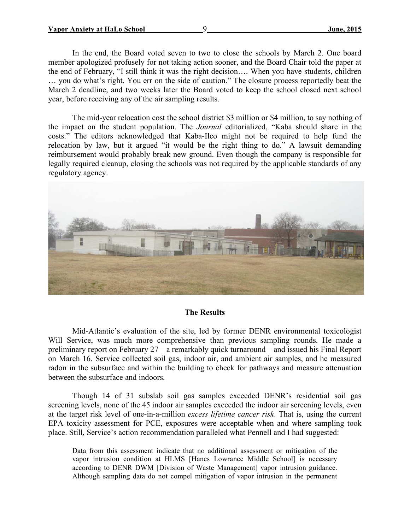In the end, the Board voted seven to two to close the schools by March 2. One board member apologized profusely for not taking action sooner, and the Board Chair told the paper at the end of February, "I still think it was the right decision…. When you have students, children … you do what's right. You err on the side of caution." The closure process reportedly beat the March 2 deadline, and two weeks later the Board voted to keep the school closed next school year, before receiving any of the air sampling results.

The mid-year relocation cost the school district \$3 million or \$4 million, to say nothing of the impact on the student population. The *Journal* editorialized, "Kaba should share in the costs." The editors acknowledged that Kaba-Ilco might not be required to help fund the relocation by law, but it argued "it would be the right thing to do." A lawsuit demanding reimbursement would probably break new ground. Even though the company is responsible for legally required cleanup, closing the schools was not required by the applicable standards of any regulatory agency.



### **The Results**

Mid-Atlantic's evaluation of the site, led by former DENR environmental toxicologist Will Service, was much more comprehensive than previous sampling rounds. He made a preliminary report on February 27—a remarkably quick turnaround—and issued his Final Report on March 16. Service collected soil gas, indoor air, and ambient air samples, and he measured radon in the subsurface and within the building to check for pathways and measure attenuation between the subsurface and indoors.

Though 14 of 31 subslab soil gas samples exceeded DENR's residential soil gas screening levels, none of the 45 indoor air samples exceeded the indoor air screening levels, even at the target risk level of one-in-a-million *excess lifetime cancer risk*. That is, using the current EPA toxicity assessment for PCE, exposures were acceptable when and where sampling took place. Still, Service's action recommendation paralleled what Pennell and I had suggested:

Data from this assessment indicate that no additional assessment or mitigation of the vapor intrusion condition at HLMS [Hanes Lowrance Middle School] is necessary according to DENR DWM [Division of Waste Management] vapor intrusion guidance. Although sampling data do not compel mitigation of vapor intrusion in the permanent